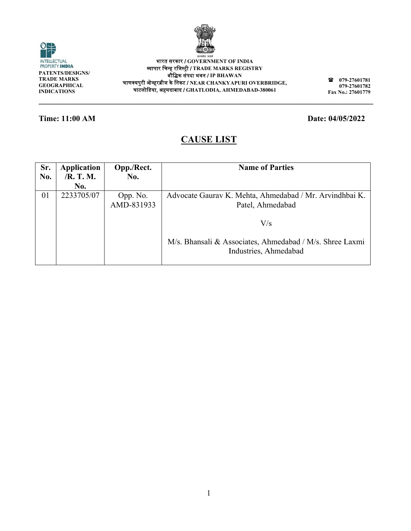

INTELLECTUAL<br>PROPERTY INDIA **PATENTS/DESI IGNS/ TRADE MARKS S GEOGRAPHICA AL INDICATIONS**

**\_\_\_\_\_\_\_\_\_\_\_**

**\_\_\_\_\_\_\_\_\_\_\_**

᳞ाप ापार िचन्ह रिजस्टर्ी / **TRADE MARK KS REGISTRY**  चाणक्यपुरी ओव्हरब्रीज के निकट / NEAR CHANKYAPURI OVERBRIDGE, घाटलोिडय या, अहमदाबाद / **GH HATLODIA, AH HMEDABAD-3800 061** भारत सरकार / **GO OVERNMENT O OF INDIA**  बौिक संपद दा भवन / **IP BHAW WAN** 

**\_\_\_\_\_\_\_\_\_\_\_**

**079 9-27601781 079 9-27601782 Fax No. .: 27601779**

**\_\_\_\_\_\_\_**

### **Time: 11:00 AM**

**\_\_\_\_\_\_\_\_\_\_**

 $\circ$ 

### **Date: 04/05 5/2022**

**\_\_\_\_\_\_\_\_\_\_\_**

# **CA AUSE LIS T**

**\_\_\_\_\_\_\_\_\_\_**

**\_\_\_\_\_\_\_\_\_\_\_**

**\_\_\_\_\_\_\_\_\_\_**

| Sr. | <b>Application</b> | Opp./Rect. | <b>Name of Parties</b>                                   |
|-----|--------------------|------------|----------------------------------------------------------|
| No. | $/R$ . T. M.       | No.        |                                                          |
|     | No.                |            |                                                          |
| 01  | 2233705/07         | Opp. No.   | Advocate Gaurav K. Mehta, Ahmedabad / Mr. Arvindhbai K.  |
|     |                    | AMD-831933 | Patel, Ahmedabad                                         |
|     |                    |            |                                                          |
|     |                    |            | V/s                                                      |
|     |                    |            |                                                          |
|     |                    |            | M/s. Bhansali & Associates, Ahmedabad / M/s. Shree Laxmi |
|     |                    |            | Industries, Ahmedabad                                    |
|     |                    |            |                                                          |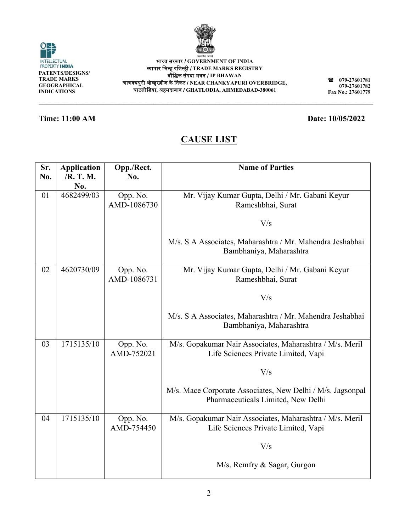**\_\_\_\_\_\_\_\_\_\_\_**

**\_\_\_\_\_\_\_\_\_\_ \_\_\_\_\_\_\_\_\_\_\_**

**PATENTS/DESI IGNS/ TRADE MARKS S GEOGRAPHICA AL INDICATIONS**

INTELLECTUAL<br>PROPERTY INDIA

O

# **Time: 11:00 AM**

**\_\_\_\_\_\_\_\_\_\_\_**

# **CA AUSE LIS T**

**\_\_\_\_\_\_\_\_\_\_**

**\_\_\_\_\_\_\_\_\_\_\_**

**\_\_\_\_\_\_\_\_\_\_**

| Sr.<br>No. | <b>Application</b><br>/R. T. M.<br>No. | Opp./Rect.<br>No.       | <b>Name of Parties</b>                                                                           |
|------------|----------------------------------------|-------------------------|--------------------------------------------------------------------------------------------------|
| 01         | 4682499/03                             | Opp. No.<br>AMD-1086730 | Mr. Vijay Kumar Gupta, Delhi / Mr. Gabani Keyur<br>Rameshbhai, Surat                             |
|            |                                        |                         | V/s                                                                                              |
|            |                                        |                         | M/s. S A Associates, Maharashtra / Mr. Mahendra Jeshabhai<br>Bambhaniya, Maharashtra             |
| 02         | 4620730/09                             | Opp. No.<br>AMD-1086731 | Mr. Vijay Kumar Gupta, Delhi / Mr. Gabani Keyur<br>Rameshbhai, Surat                             |
|            |                                        |                         | V/s                                                                                              |
|            |                                        |                         | M/s. S A Associates, Maharashtra / Mr. Mahendra Jeshabhai<br>Bambhaniya, Maharashtra             |
| 03         | 1715135/10                             | Opp. No.<br>AMD-752021  | M/s. Gopakumar Nair Associates, Maharashtra / M/s. Meril<br>Life Sciences Private Limited, Vapi  |
|            |                                        |                         | V/s                                                                                              |
|            |                                        |                         | M/s. Mace Corporate Associates, New Delhi / M/s. Jagsonpal<br>Pharmaceuticals Limited, New Delhi |
| 04         | 1715135/10                             | Opp. No.<br>AMD-754450  | M/s. Gopakumar Nair Associates, Maharashtra / M/s. Meril<br>Life Sciences Private Limited, Vapi  |
|            |                                        |                         | V/s                                                                                              |
|            |                                        |                         | M/s. Remfry & Sagar, Gurgon                                                                      |



**079 9-27601781 079 9-27601782 Fax No. .: 27601779**

**\_\_\_\_\_\_\_**

### **Date: 10/05 5/2022**

**\_\_\_\_\_\_\_\_\_\_\_**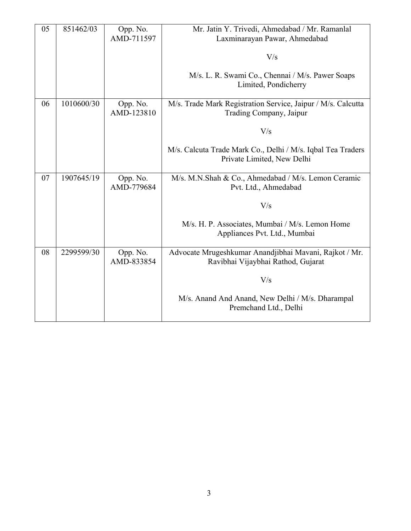| 05 | 851462/03  | Opp. No.<br>AMD-711597 | Mr. Jatin Y. Trivedi, Ahmedabad / Mr. Ramanlal<br>Laxminarayan Pawar, Ahmedabad              |
|----|------------|------------------------|----------------------------------------------------------------------------------------------|
|    |            |                        | V/s                                                                                          |
|    |            |                        | M/s. L. R. Swami Co., Chennai / M/s. Pawer Soaps<br>Limited, Pondicherry                     |
| 06 | 1010600/30 | Opp. No.<br>AMD-123810 | M/s. Trade Mark Registration Service, Jaipur / M/s. Calcutta<br>Trading Company, Jaipur      |
|    |            |                        | V/s                                                                                          |
|    |            |                        | M/s. Calcuta Trade Mark Co., Delhi / M/s. Iqbal Tea Traders<br>Private Limited, New Delhi    |
| 07 | 1907645/19 | Opp. No.<br>AMD-779684 | M/s. M.N.Shah & Co., Ahmedabad / M/s. Lemon Ceramic<br>Pvt. Ltd., Ahmedabad                  |
|    |            |                        | V/s                                                                                          |
|    |            |                        | M/s. H. P. Associates, Mumbai / M/s. Lemon Home<br>Appliances Pvt. Ltd., Mumbai              |
| 08 | 2299599/30 | Opp. No.<br>AMD-833854 | Advocate Mrugeshkumar Anandjibhai Mavani, Rajkot / Mr.<br>Ravibhai Vijaybhai Rathod, Gujarat |
|    |            |                        | V/s                                                                                          |
|    |            |                        | M/s. Anand And Anand, New Delhi / M/s. Dharampal<br>Premchand Ltd., Delhi                    |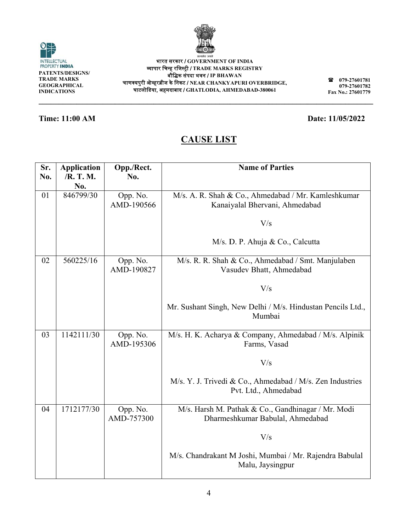

| सत्यमेव जयते |
|--------------|

**\_\_\_\_\_\_\_\_\_\_\_**

**079 9-27601781 079 9-27601782 Fax No. .: 27601779**

### **Time: 11:00 AM**

**\_\_\_\_\_\_\_\_\_\_\_**

**\_\_\_\_\_\_\_\_\_\_\_**

# **CA AUSE LIS T**

**\_\_\_\_\_\_\_\_\_\_**

**\_\_\_\_\_\_\_\_\_\_\_**

**\_\_\_\_\_\_\_\_\_\_**

| Sr.<br>No. | <b>Application</b><br>/R. T. M.<br>No. | Opp./Rect.<br>No.      | <b>Name of Parties</b>                                                                 |
|------------|----------------------------------------|------------------------|----------------------------------------------------------------------------------------|
| 01         | 846799/30                              | Opp. No.<br>AMD-190566 | M/s. A. R. Shah & Co., Ahmedabad / Mr. Kamleshkumar<br>Kanaiyalal Bhervani, Ahmedabad  |
|            |                                        |                        | V/s                                                                                    |
|            |                                        |                        | M/s. D. P. Ahuja & Co., Calcutta                                                       |
| 02         | 560225/16                              | Opp. No.<br>AMD-190827 | M/s. R. R. Shah & Co., Ahmedabad / Smt. Manjulaben<br>Vasudev Bhatt, Ahmedabad         |
|            |                                        |                        | V/s                                                                                    |
|            |                                        |                        | Mr. Sushant Singh, New Delhi / M/s. Hindustan Pencils Ltd.,<br>Mumbai                  |
| 03         | 1142111/30                             | Opp. No.<br>AMD-195306 | M/s. H. K. Acharya & Company, Ahmedabad / M/s. Alpinik<br>Farms, Vasad                 |
|            |                                        |                        | V/s                                                                                    |
|            |                                        |                        | M/s. Y. J. Trivedi & Co., Ahmedabad / M/s. Zen Industries<br>Pvt. Ltd., Ahmedabad      |
| 04         | 1712177/30                             | Opp. No.<br>AMD-757300 | M/s. Harsh M. Pathak & Co., Gandhinagar / Mr. Modi<br>Dharmeshkumar Babulal, Ahmedabad |
|            |                                        |                        | V/s                                                                                    |
|            |                                        |                        | M/s. Chandrakant M Joshi, Mumbai / Mr. Rajendra Babulal<br>Malu, Jaysingpur            |



**\_\_\_\_\_\_\_\_\_\_**

**\_\_\_\_\_\_\_\_\_\_\_ \_\_\_\_\_\_\_**

**Date: 11/05 5/2022**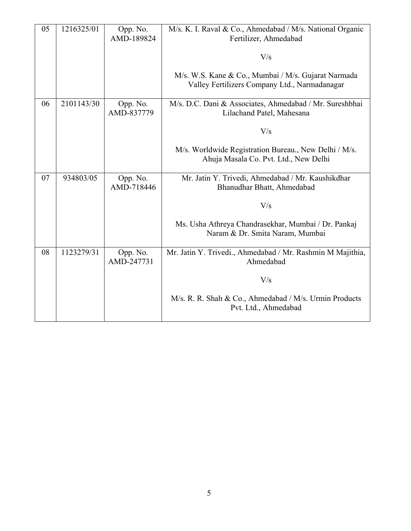| 05 | 1216325/01 | Opp. No.<br>AMD-189824 | M/s. K. I. Raval & Co., Ahmedabad / M/s. National Organic<br>Fertilizer, Ahmedabad                   |
|----|------------|------------------------|------------------------------------------------------------------------------------------------------|
|    |            |                        | V/s                                                                                                  |
|    |            |                        | M/s. W.S. Kane & Co., Mumbai / M/s. Gujarat Narmada<br>Valley Fertilizers Company Ltd., Narmadanagar |
| 06 | 2101143/30 | Opp. No.<br>AMD-837779 | M/s. D.C. Dani & Associates, Ahmedabad / Mr. Sureshbhai<br>Lilachand Patel, Mahesana                 |
|    |            |                        | V/s                                                                                                  |
|    |            |                        | M/s. Worldwide Registration Bureau., New Delhi / M/s.<br>Ahuja Masala Co. Pvt. Ltd., New Delhi       |
| 07 | 934803/05  | Opp. No.<br>AMD-718446 | Mr. Jatin Y. Trivedi, Ahmedabad / Mr. Kaushikdhar<br>Bhanudhar Bhatt, Ahmedabad                      |
|    |            |                        | V/s                                                                                                  |
|    |            |                        | Ms. Usha Athreya Chandrasekhar, Mumbai / Dr. Pankaj<br>Naram & Dr. Smita Naram, Mumbai               |
| 08 | 1123279/31 | Opp. No.<br>AMD-247731 | Mr. Jatin Y. Trivedi., Ahmedabad / Mr. Rashmin M Majithia,<br>Ahmedabad                              |
|    |            |                        | V/s                                                                                                  |
|    |            |                        | M/s. R. R. Shah & Co., Ahmedabad / M/s. Urmin Products<br>Pvt. Ltd., Ahmedabad                       |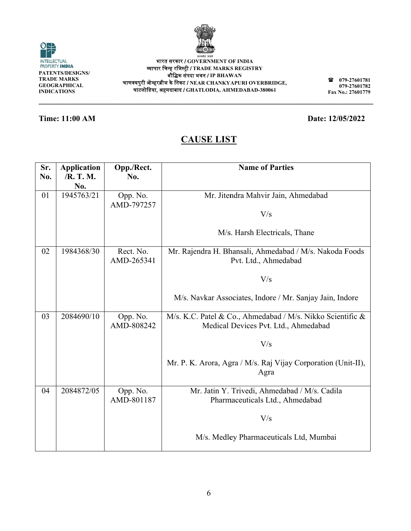

6

| भारत सरकार / GOVERNMENT OF INDIA                          |
|-----------------------------------------------------------|
| व्यापार चिन्ह रजिस्ट्री / TRADE MARKS REGISTRY            |
| बौद्धिक संपदा भवन / IP BHAWAN                             |
| न्यपुरी ओव्हरब्रीज के निकट / NEAR CHANKYAPURI OVERBRIDGE, |
| घाटलोडिया, अहमदाबाद / GHATLODIA, AHMEDABAD-380061         |

**\_\_\_\_\_\_\_\_\_\_**

**\_\_\_\_\_\_\_\_\_\_\_**

**\_\_\_\_\_\_\_\_\_\_**



**\_\_\_\_\_\_\_\_\_\_\_**

**\_\_\_\_\_\_\_\_\_\_\_**

**\_\_\_\_\_\_\_\_\_\_\_**

**Time: 11:00 AM** 

**INDICATIONS \_\_\_\_\_\_\_\_\_\_**

 $\odot$ 

# **CA AUSE LIS T**

| Sr.<br>No. | <b>Application</b><br>/R. T. M.<br>No. | Opp./Rect.<br>No.       | <b>Name of Parties</b>                                                                             |
|------------|----------------------------------------|-------------------------|----------------------------------------------------------------------------------------------------|
| 01         | 1945763/21                             | Opp. No.<br>AMD-797257  | Mr. Jitendra Mahvir Jain, Ahmedabad                                                                |
|            |                                        |                         | V/s                                                                                                |
|            |                                        |                         | M/s. Harsh Electricals, Thane                                                                      |
| 02         | 1984368/30                             | Rect. No.<br>AMD-265341 | Mr. Rajendra H. Bhansali, Ahmedabad / M/s. Nakoda Foods<br>Pvt. Ltd., Ahmedabad                    |
|            |                                        |                         | V/s                                                                                                |
|            |                                        |                         | M/s. Navkar Associates, Indore / Mr. Sanjay Jain, Indore                                           |
| 03         | 2084690/10                             | Opp. No.<br>AMD-808242  | M/s. K.C. Patel & Co., Ahmedabad / M/s. Nikko Scientific &<br>Medical Devices Pvt. Ltd., Ahmedabad |
|            |                                        |                         | V/s                                                                                                |
|            |                                        |                         | Mr. P. K. Arora, Agra / M/s. Raj Vijay Corporation (Unit-II),<br>Agra                              |
| 04         | 2084872/05                             | Opp. No.<br>AMD-801187  | Mr. Jatin Y. Trivedi, Ahmedabad / M/s. Cadila<br>Pharmaceuticals Ltd., Ahmedabad                   |
|            |                                        |                         | V/s                                                                                                |
|            |                                        |                         | M/s. Medley Pharmaceuticals Ltd, Mumbai                                                            |

**\_\_\_\_\_\_\_\_\_\_\_ \_\_\_\_\_\_\_**

**9-27601781 9-27601782** 

**079 079 Fax No. .: 27601779**



# **Date: 12/05 5/2022**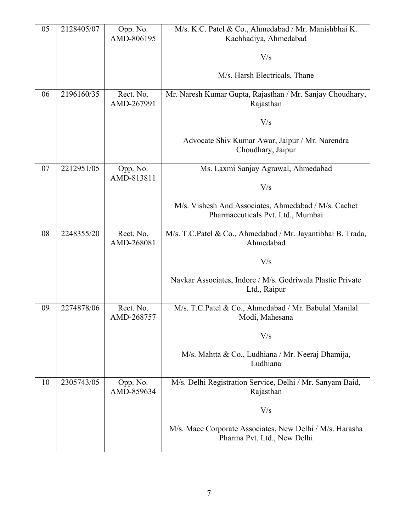| 05 | 2128405/07 | Opp. No.<br>AMD-806195  | M/s. K.C. Patel & Co., Ahmedabad / Mr. Manishbhai K.<br>Kachhadiya, Ahmedabad             |
|----|------------|-------------------------|-------------------------------------------------------------------------------------------|
|    |            |                         | V/s                                                                                       |
|    |            |                         | M/s. Harsh Electricals, Thane                                                             |
| 06 | 2196160/35 | Rect. No.<br>AMD-267991 | Mr. Naresh Kumar Gupta, Rajasthan / Mr. Sanjay Choudhary,<br>Rajasthan                    |
|    |            |                         | V/s                                                                                       |
|    |            |                         | Advocate Shiv Kumar Awar, Jaipur / Mr. Narendra<br>Choudhary, Jaipur                      |
| 07 | 2212951/05 | Opp. No.<br>AMD-813811  | Ms. Laxmi Sanjay Agrawal, Ahmedabad                                                       |
|    |            |                         | V/s                                                                                       |
|    |            |                         | M/s. Vishesh And Associates, Ahmedabad / M/s. Cachet<br>Pharmaceuticals Pvt. Ltd., Mumbai |
| 08 | 2248355/20 | Rect. No.<br>AMD-268081 | M/s. T.C.Patel & Co., Ahmedabad / Mr. Jayantibhai B. Trada,<br>Ahmedabad                  |
|    |            |                         | V/s                                                                                       |
|    |            |                         | Navkar Associates, Indore / M/s. Godriwala Plastic Private<br>Ltd., Raipur                |
| 09 | 2274878/06 | Rect. No.<br>AMD-268757 | M/s. T.C.Patel & Co., Ahmedabad / Mr. Babulal Manilal<br>Modi, Mahesana                   |
|    |            |                         | V/s                                                                                       |
|    |            |                         | M/s. Mahtta & Co., Ludhiana / Mr. Neeraj Dhamija,<br>Ludhiana                             |
| 10 | 2305743/05 | Opp. No.<br>AMD-859634  | M/s. Delhi Registration Service, Delhi / Mr. Sanyam Baid,<br>Rajasthan                    |
|    |            |                         | V/s                                                                                       |
|    |            |                         | M/s. Mace Corporate Associates, New Delhi / M/s. Harasha<br>Pharma Pvt. Ltd., New Delhi   |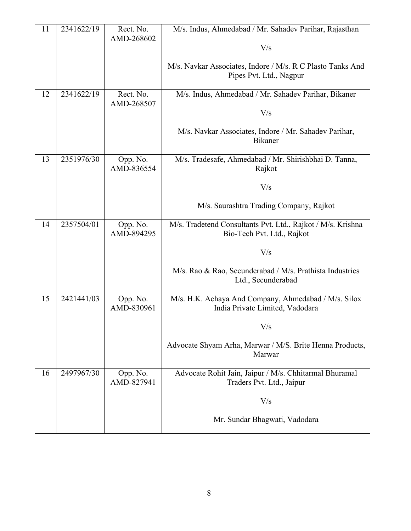| 11 | 2341622/19 | Rect. No.<br>AMD-268602 | M/s. Indus, Ahmedabad / Mr. Sahadev Parihar, Rajasthan                                    |
|----|------------|-------------------------|-------------------------------------------------------------------------------------------|
|    |            |                         | V/s                                                                                       |
|    |            |                         | M/s. Navkar Associates, Indore / M/s. R C Plasto Tanks And<br>Pipes Pvt. Ltd., Nagpur     |
| 12 | 2341622/19 | Rect. No.<br>AMD-268507 | M/s. Indus, Ahmedabad / Mr. Sahadev Parihar, Bikaner                                      |
|    |            |                         | V/s                                                                                       |
|    |            |                         | M/s. Navkar Associates, Indore / Mr. Sahadev Parihar,<br><b>Bikaner</b>                   |
| 13 | 2351976/30 | Opp. No.<br>AMD-836554  | M/s. Tradesafe, Ahmedabad / Mr. Shirishbhai D. Tanna,<br>Rajkot                           |
|    |            |                         | V/s                                                                                       |
|    |            |                         | M/s. Saurashtra Trading Company, Rajkot                                                   |
| 14 | 2357504/01 | Opp. No.<br>AMD-894295  | M/s. Tradetend Consultants Pvt. Ltd., Rajkot / M/s. Krishna<br>Bio-Tech Pvt. Ltd., Rajkot |
|    |            |                         | V/s                                                                                       |
|    |            |                         | M/s. Rao & Rao, Secunderabad / M/s. Prathista Industries<br>Ltd., Secunderabad            |
| 15 | 2421441/03 | Opp. No.<br>AMD-830961  | M/s. H.K. Achaya And Company, Ahmedabad / M/s. Silox<br>India Private Limited, Vadodara   |
|    |            |                         | V/s                                                                                       |
|    |            |                         | Advocate Shyam Arha, Marwar / M/S. Brite Henna Products,<br>Marwar                        |
| 16 | 2497967/30 | Opp. No.<br>AMD-827941  | Advocate Rohit Jain, Jaipur / M/s. Chhitarmal Bhuramal<br>Traders Pvt. Ltd., Jaipur       |
|    |            |                         | V/s                                                                                       |
|    |            |                         | Mr. Sundar Bhagwati, Vadodara                                                             |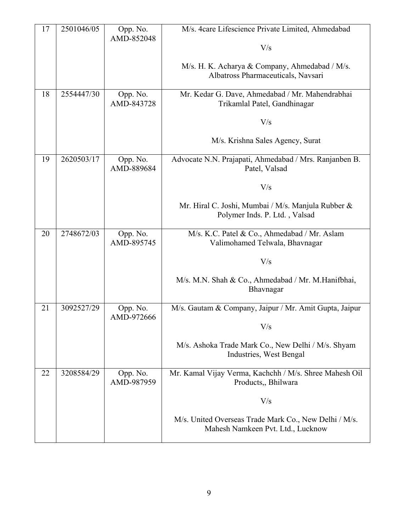| 17 | 2501046/05 | Opp. No.<br>AMD-852048 | M/s. 4care Lifescience Private Limited, Ahmedabad                                          |
|----|------------|------------------------|--------------------------------------------------------------------------------------------|
|    |            |                        | V/s                                                                                        |
|    |            |                        | M/s. H. K. Acharya & Company, Ahmedabad / M/s.<br>Albatross Pharmaceuticals, Navsari       |
| 18 | 2554447/30 | Opp. No.<br>AMD-843728 | Mr. Kedar G. Dave, Ahmedabad / Mr. Mahendrabhai<br>Trikamlal Patel, Gandhinagar            |
|    |            |                        | V/s                                                                                        |
|    |            |                        | M/s. Krishna Sales Agency, Surat                                                           |
| 19 | 2620503/17 | Opp. No.<br>AMD-889684 | Advocate N.N. Prajapati, Ahmedabad / Mrs. Ranjanben B.<br>Patel, Valsad                    |
|    |            |                        | V/s                                                                                        |
|    |            |                        | Mr. Hiral C. Joshi, Mumbai / M/s. Manjula Rubber &<br>Polymer Inds. P. Ltd., Valsad        |
| 20 | 2748672/03 | Opp. No.<br>AMD-895745 | M/s. K.C. Patel & Co., Ahmedabad / Mr. Aslam<br>Valimohamed Telwala, Bhavnagar             |
|    |            |                        | V/s                                                                                        |
|    |            |                        | M/s. M.N. Shah & Co., Ahmedabad / Mr. M.Hanifbhai,<br>Bhavnagar                            |
| 21 | 3092527/29 | Opp. No.<br>AMD-972666 | M/s. Gautam & Company, Jaipur / Mr. Amit Gupta, Jaipur                                     |
|    |            |                        | $\rm V/s$                                                                                  |
|    |            |                        | M/s. Ashoka Trade Mark Co., New Delhi / M/s. Shyam<br>Industries, West Bengal              |
| 22 | 3208584/29 | Opp. No.<br>AMD-987959 | Mr. Kamal Vijay Verma, Kachchh / M/s. Shree Mahesh Oil<br>Products, Bhilwara               |
|    |            |                        | V/s                                                                                        |
|    |            |                        | M/s. United Overseas Trade Mark Co., New Delhi / M/s.<br>Mahesh Namkeen Pvt. Ltd., Lucknow |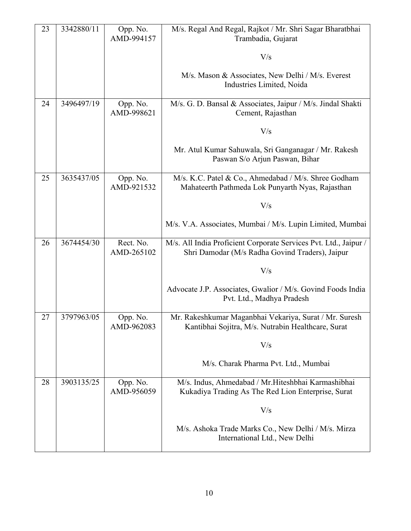| 23 | 3342880/11 | Opp. No.<br>AMD-994157  | M/s. Regal And Regal, Rajkot / Mr. Shri Sagar Bharatbhai<br>Trambadia, Gujarat                                      |
|----|------------|-------------------------|---------------------------------------------------------------------------------------------------------------------|
|    |            |                         | V/s                                                                                                                 |
|    |            |                         | M/s. Mason & Associates, New Delhi / M/s. Everest<br>Industries Limited, Noida                                      |
| 24 | 3496497/19 | Opp. No.<br>AMD-998621  | M/s. G. D. Bansal & Associates, Jaipur / M/s. Jindal Shakti<br>Cement, Rajasthan                                    |
|    |            |                         | V/s                                                                                                                 |
|    |            |                         | Mr. Atul Kumar Sahuwala, Sri Ganganagar / Mr. Rakesh<br>Paswan S/o Arjun Paswan, Bihar                              |
| 25 | 3635437/05 | Opp. No.<br>AMD-921532  | M/s. K.C. Patel & Co., Ahmedabad / M/s. Shree Godham<br>Mahateerth Pathmeda Lok Punyarth Nyas, Rajasthan            |
|    |            |                         | V/s                                                                                                                 |
|    |            |                         | M/s. V.A. Associates, Mumbai / M/s. Lupin Limited, Mumbai                                                           |
| 26 | 3674454/30 | Rect. No.<br>AMD-265102 | M/s. All India Proficient Corporate Services Pvt. Ltd., Jaipur /<br>Shri Damodar (M/s Radha Govind Traders), Jaipur |
|    |            |                         | V/s                                                                                                                 |
|    |            |                         | Advocate J.P. Associates, Gwalior / M/s. Govind Foods India<br>Pvt. Ltd., Madhya Pradesh                            |
| 27 | 3797963/05 | Opp. No.<br>AMD-962083  | Mr. Rakeshkumar Maganbhai Vekariya, Surat / Mr. Suresh<br>Kantibhai Sojitra, M/s. Nutrabin Healthcare, Surat        |
|    |            |                         | V/s                                                                                                                 |
|    |            |                         | M/s. Charak Pharma Pvt. Ltd., Mumbai                                                                                |
| 28 | 3903135/25 | Opp. No.<br>AMD-956059  | M/s. Indus, Ahmedabad / Mr. Hiteshbhai Karmashibhai<br>Kukadiya Trading As The Red Lion Enterprise, Surat           |
|    |            |                         | V/s                                                                                                                 |
|    |            |                         | M/s. Ashoka Trade Marks Co., New Delhi / M/s. Mirza<br>International Ltd., New Delhi                                |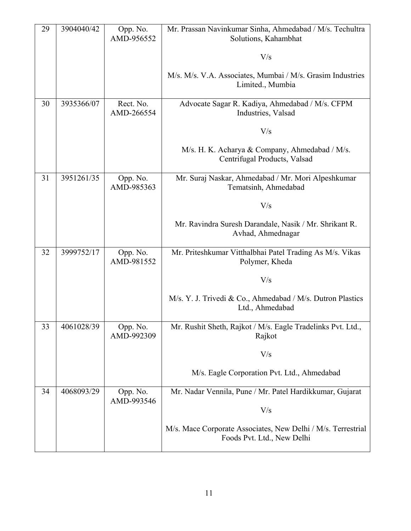| 29 | 3904040/42 | Opp. No.<br>AMD-956552  | Mr. Prassan Navinkumar Sinha, Ahmedabad / M/s. Techultra<br>Solutions, Kahambhat           |
|----|------------|-------------------------|--------------------------------------------------------------------------------------------|
|    |            |                         | V/s                                                                                        |
|    |            |                         | M/s. M/s. V.A. Associates, Mumbai / M/s. Grasim Industries<br>Limited., Mumbia             |
| 30 | 3935366/07 | Rect. No.<br>AMD-266554 | Advocate Sagar R. Kadiya, Ahmedabad / M/s. CFPM<br>Industries, Valsad                      |
|    |            |                         | V/s                                                                                        |
|    |            |                         | M/s. H. K. Acharya & Company, Ahmedabad / M/s.<br>Centrifugal Products, Valsad             |
| 31 | 3951261/35 | Opp. No.<br>AMD-985363  | Mr. Suraj Naskar, Ahmedabad / Mr. Mori Alpeshkumar<br>Tematsinh, Ahmedabad                 |
|    |            |                         | V/s                                                                                        |
|    |            |                         | Mr. Ravindra Suresh Darandale, Nasik / Mr. Shrikant R.<br>Avhad, Ahmednagar                |
| 32 | 3999752/17 | Opp. No.<br>AMD-981552  | Mr. Priteshkumar Vitthalbhai Patel Trading As M/s. Vikas<br>Polymer, Kheda                 |
|    |            |                         | V/s                                                                                        |
|    |            |                         | M/s. Y. J. Trivedi & Co., Ahmedabad / M/s. Dutron Plastics<br>Ltd., Ahmedabad              |
| 33 | 4061028/39 | Opp. No.<br>AMD-992309  | Mr. Rushit Sheth, Rajkot / M/s. Eagle Tradelinks Pvt. Ltd.,<br>Rajkot                      |
|    |            |                         | V/s                                                                                        |
|    |            |                         | M/s. Eagle Corporation Pvt. Ltd., Ahmedabad                                                |
| 34 | 4068093/29 | Opp. No.<br>AMD-993546  | Mr. Nadar Vennila, Pune / Mr. Patel Hardikkumar, Gujarat                                   |
|    |            |                         | V/s                                                                                        |
|    |            |                         | M/s. Mace Corporate Associates, New Delhi / M/s. Terrestrial<br>Foods Pvt. Ltd., New Delhi |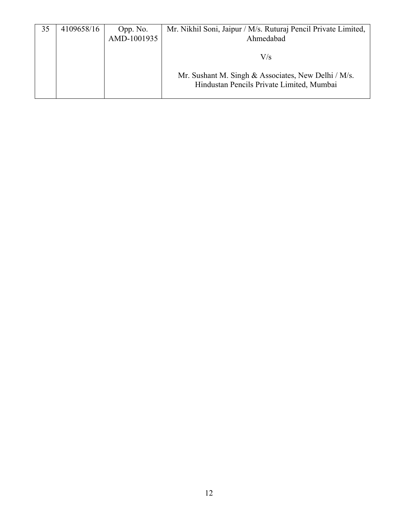| 35 | 4109658/16 | Opp. No.<br>AMD-1001935 | Mr. Nikhil Soni, Jaipur / M/s. Ruturaj Pencil Private Limited,<br>Ahmedabad                      |
|----|------------|-------------------------|--------------------------------------------------------------------------------------------------|
|    |            |                         | $\rm V/s$                                                                                        |
|    |            |                         | Mr. Sushant M. Singh & Associates, New Delhi / M/s.<br>Hindustan Pencils Private Limited, Mumbai |
|    |            |                         |                                                                                                  |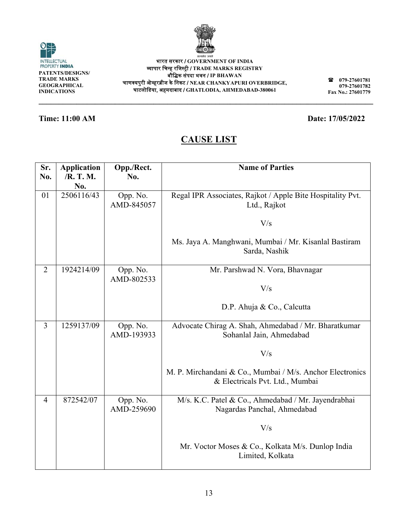**\_\_\_\_\_\_\_\_\_\_**

| Sr.            | <b>Application</b> | Opp./Rect.             | <b>Name of Parties</b>                                     |
|----------------|--------------------|------------------------|------------------------------------------------------------|
| No.            | /R. T. M.          | No.                    |                                                            |
|                | No.                |                        |                                                            |
| 01             | 2506116/43         | Opp. No.               | Regal IPR Associates, Rajkot / Apple Bite Hospitality Pvt. |
|                |                    | AMD-845057             | Ltd., Rajkot                                               |
|                |                    |                        |                                                            |
|                |                    |                        | V/s                                                        |
|                |                    |                        |                                                            |
|                |                    |                        | Ms. Jaya A. Manghwani, Mumbai / Mr. Kisanlal Bastiram      |
|                |                    |                        | Sarda, Nashik                                              |
| $\overline{2}$ | 1924214/09         |                        |                                                            |
|                |                    | Opp. No.<br>AMD-802533 | Mr. Parshwad N. Vora, Bhavnagar                            |
|                |                    |                        | V/s                                                        |
|                |                    |                        |                                                            |
|                |                    |                        | D.P. Ahuja & Co., Calcutta                                 |
|                |                    |                        |                                                            |
| $\overline{3}$ | 1259137/09         | Opp. No.               | Advocate Chirag A. Shah, Ahmedabad / Mr. Bharatkumar       |
|                |                    | AMD-193933             | Sohanlal Jain, Ahmedabad                                   |
|                |                    |                        |                                                            |
|                |                    |                        | V/s                                                        |
|                |                    |                        |                                                            |
|                |                    |                        | M. P. Mirchandani & Co., Mumbai / M/s. Anchor Electronics  |
|                |                    |                        | & Electricals Pvt. Ltd., Mumbai                            |
| $\overline{4}$ | 872542/07          | Opp. No.               | M/s. K.C. Patel & Co., Ahmedabad / Mr. Jayendrabhai        |
|                |                    | AMD-259690             | Nagardas Panchal, Ahmedabad                                |
|                |                    |                        |                                                            |
|                |                    |                        | V/s                                                        |
|                |                    |                        |                                                            |
|                |                    |                        | Mr. Voctor Moses & Co., Kolkata M/s. Dunlop India          |
|                |                    |                        | Limited, Kolkata                                           |
|                |                    |                        |                                                            |

### **Time: 11:00 AM**

**\_\_\_\_\_\_\_\_\_\_**

O

INTELLECTUAL<br>PROPERTY INDIA **PATENTS/DESI IGNS/ TRADE MARKS S GEOGRAPHICA AL INDICATIONS**

**\_\_\_\_\_\_\_\_\_\_\_**

**\_\_\_\_\_\_\_\_\_\_\_**

᳞ाप ापार िचन्ह रिजस्टर्ी / **TRADE MARK KS REGISTRY**  चाणक्यपुरी ओव्हरब्रीज के निकट / NEAR CHANKYAPURI OVERBRIDGE, घाटलोिडय या, अहमदाबाद / **GH HATLODIA, AH HMEDABAD-3800 061** भारत सरकार / **GO OVERNMENT O OF INDIA**  बौिक संपद दा भवन / **IP BHAW WAN** 

**CA AUSE LIS T** 

**\_\_\_\_\_\_\_\_\_\_**

**\_\_\_\_\_\_\_\_\_\_\_**

**\_\_\_\_\_\_\_\_\_\_\_**



**079 9-27601781 079 9-27601782 Fax No. .: 27601779**

**\_\_\_\_\_\_\_**

**\_\_\_\_\_\_\_\_\_\_\_**

**Date: 17/05 5/2022**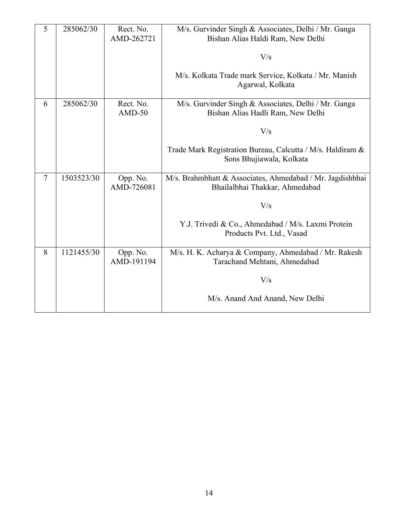| 5      | 285062/30  | Rect. No.<br>AMD-262721 | M/s. Gurvinder Singh & Associates, Delhi / Mr. Ganga<br>Bishan Alias Haldi Ram, New Delhi   |
|--------|------------|-------------------------|---------------------------------------------------------------------------------------------|
|        |            |                         | V/s                                                                                         |
|        |            |                         | M/s. Kolkata Trade mark Service, Kolkata / Mr. Manish<br>Agarwal, Kolkata                   |
| 6      | 285062/30  | Rect. No.<br>$AMD-50$   | M/s. Gurvinder Singh & Associates, Delhi / Mr. Ganga<br>Bishan Alias Hadli Ram, New Delhi   |
|        |            |                         | V/s                                                                                         |
|        |            |                         | Trade Mark Registration Bureau, Calcutta / M/s. Haldiram &<br>Sons Bhujiawala, Kolkata      |
| $\tau$ | 1503523/30 | Opp. No.<br>AMD-726081  | M/s. Brahmbhatt & Associates, Ahmedabad / Mr. Jagdishbhai<br>Bhailalbhai Thakkar, Ahmedabad |
|        |            |                         | V/s                                                                                         |
|        |            |                         | Y.J. Trivedi & Co., Ahmedabad / M/s. Laxmi Protein<br>Products Pvt. Ltd., Vasad             |
| 8      | 1121455/30 | Opp. No.<br>AMD-191194  | M/s. H. K. Acharya & Company, Ahmedabad / Mr. Rakesh<br>Tarachand Mehtani, Ahmedabad        |
|        |            |                         | V/s                                                                                         |
|        |            |                         | M/s. Anand And Anand, New Delhi                                                             |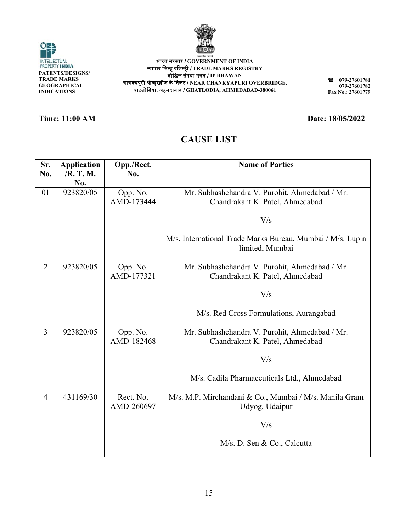

15

**\_\_\_\_\_\_\_\_\_\_\_ \_\_\_\_\_\_\_\_\_\_ \_\_\_\_\_\_\_\_\_\_\_ \_\_\_\_\_\_\_\_\_\_**

᳞ाप ापार िचन्ह रिजस्टर्ी / **TRADE MARK KS REGISTRY** 

बौिक संपद दा भवन / **IP BHAW WAN** 

चाणक्यपुरी ओव्हरब्रीज के निकट / NEAR CHANKYAPURI OVERBRIDGE, घाटलोिडय या, अहमदाबाद / **GH HATLODIA, AH HMEDABAD-3800 061**

# **CA AUSE LIS T**

| Sr.<br>No.     | <b>Application</b><br>/R. T. M.<br>No. | Opp./Rect.<br>No.       | <b>Name of Parties</b>                                                            |
|----------------|----------------------------------------|-------------------------|-----------------------------------------------------------------------------------|
| 01             | 923820/05                              | Opp. No.<br>AMD-173444  | Mr. Subhashchandra V. Purohit, Ahmedabad / Mr.<br>Chandrakant K. Patel, Ahmedabad |
|                |                                        |                         | V/s                                                                               |
|                |                                        |                         | M/s. International Trade Marks Bureau, Mumbai / M/s. Lupin<br>limited, Mumbai     |
| $\overline{2}$ | 923820/05                              | Opp. No.<br>AMD-177321  | Mr. Subhashchandra V. Purohit, Ahmedabad / Mr.<br>Chandrakant K. Patel, Ahmedabad |
|                |                                        |                         | V/s                                                                               |
|                |                                        |                         | M/s. Red Cross Formulations, Aurangabad                                           |
| 3              | 923820/05                              | Opp. No.<br>AMD-182468  | Mr. Subhashchandra V. Purohit, Ahmedabad / Mr.<br>Chandrakant K. Patel, Ahmedabad |
|                |                                        |                         | V/s                                                                               |
|                |                                        |                         | M/s. Cadila Pharmaceuticals Ltd., Ahmedabad                                       |
| 4              | 431169/30                              | Rect. No.<br>AMD-260697 | M/s. M.P. Mirchandani & Co., Mumbai / M/s. Manila Gram<br>Udyog, Udaipur          |
|                |                                        |                         | V/s                                                                               |
|                |                                        |                         | M/s. D. Sen & Co., Calcutta                                                       |



**IGNS/ S**

**\_\_\_\_\_\_\_\_\_\_\_**

**\_\_\_\_\_\_\_\_\_\_\_**

**PATENTS/DESI TRADE MARKS GEOGRAPHICA AL INDICATIONS \_\_\_\_\_\_\_\_\_\_**

INTELLECTUAL<br>PROPERTY INDIA

O



**079 9-27601781 079 9-27601782 Fax No. .: 27601779**

**\_\_\_\_\_\_\_**

**\_\_\_\_\_\_\_\_\_\_\_**

**Date: 18/05 5/2022**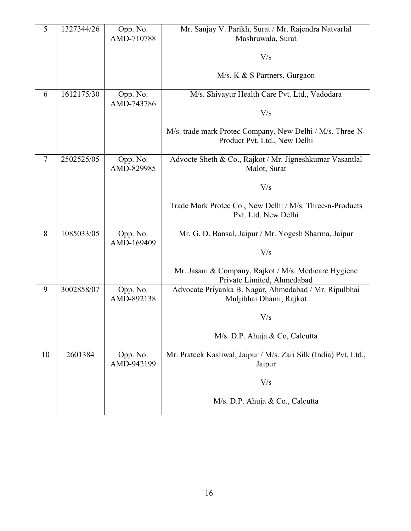| 5      | 1327344/26 | Opp. No.               | Mr. Sanjay V. Parikh, Surat / Mr. Rajendra Natvarlal                               |
|--------|------------|------------------------|------------------------------------------------------------------------------------|
|        |            | AMD-710788             | Mashruwala, Surat                                                                  |
|        |            |                        | V/s                                                                                |
|        |            |                        |                                                                                    |
|        |            |                        | M/s. K & S Partners, Gurgaon                                                       |
| 6      | 1612175/30 | Opp. No.               | M/s. Shivayur Health Care Pvt. Ltd., Vadodara                                      |
|        |            | AMD-743786             | V/s                                                                                |
|        |            |                        |                                                                                    |
|        |            |                        | M/s. trade mark Protec Company, New Delhi / M/s. Three-N-                          |
|        |            |                        | Product Pvt. Ltd., New Delhi                                                       |
| $\tau$ | 2502525/05 | Opp. No.<br>AMD-829985 | Advocte Sheth & Co., Rajkot / Mr. Jigneshkumar Vasantlal                           |
|        |            |                        | Malot, Surat                                                                       |
|        |            |                        | V/s                                                                                |
|        |            |                        | Trade Mark Protec Co., New Delhi / M/s. Three-n-Products                           |
|        |            |                        | Pvt. Ltd. New Delhi                                                                |
| 8      | 1085033/05 | Opp. No.               | Mr. G. D. Bansal, Jaipur / Mr. Yogesh Sharma, Jaipur                               |
|        |            | AMD-169409             |                                                                                    |
|        |            |                        | V/s                                                                                |
|        |            |                        | Mr. Jasani & Company, Rajkot / M/s. Medicare Hygiene<br>Private Limited, Ahmedabad |
| 9      | 3002858/07 | Opp. No.               | Advocate Priyanka B. Nagar, Ahmedabad / Mr. Ripulbhai                              |
|        |            | AMD-892138             | Muljibhai Dhami, Rajkot                                                            |
|        |            |                        | V/s                                                                                |
|        |            |                        | M/s. D.P. Ahuja & Co, Calcutta                                                     |
| 10     | 2601384    | Opp. No.               | Mr. Prateek Kasliwal, Jaipur / M/s. Zari Silk (India) Pvt. Ltd.,                   |
|        |            | AMD-942199             | Jaipur                                                                             |
|        |            |                        | V/s                                                                                |
|        |            |                        | M/s. D.P. Ahuja & Co., Calcutta                                                    |
|        |            |                        |                                                                                    |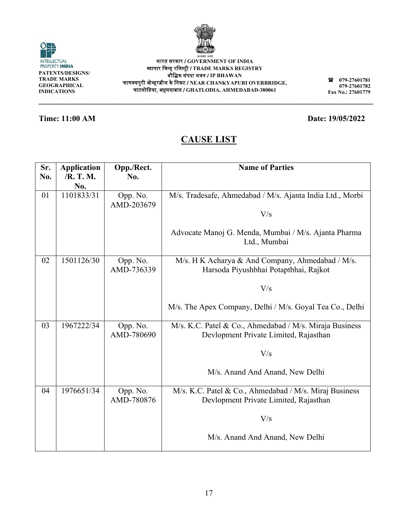

| भारत सरकार / GOVERNMENT OF INDIA                                          |
|---------------------------------------------------------------------------|
| व्यापार चिन्ह रजिस्ट्री / TRADE MARKS REGISTRY                            |
| बौद्धिक संपदा भवन / IP BHAWAN                                             |
| चाणक्यपुरी ओव्हरब्रीज के निकट / NEAR $\bf CHANKYAPURI$ $\bf OVERBRIDGE$ , |
| घाटलोडिया, अहमदाबाद / GHATLODIA, AHMEDABAD-380061                         |

**\_\_\_\_\_\_\_\_\_\_\_**

**IGNS/** 

**\_\_\_\_\_\_\_\_\_\_\_**

**PATENTS/DESI**

INTELLECTUAL<br>PROPERTY **INDIA** 

 $\odot$ 

### **Time: 11:00 AM**

# **CA AUSE LIS T**

**\_\_\_\_\_\_\_\_\_\_**

| Sr.<br>No. | <b>Application</b><br>/R. T. M. | Opp./Rect.<br>No.      | <b>Name of Parties</b>                                                                           |
|------------|---------------------------------|------------------------|--------------------------------------------------------------------------------------------------|
|            | No.                             |                        |                                                                                                  |
| 01         | 1101833/31                      | Opp. No.<br>AMD-203679 | M/s. Tradesafe, Ahmedabad / M/s. Ajanta India Ltd., Morbi                                        |
|            |                                 |                        | V/s                                                                                              |
|            |                                 |                        | Advocate Manoj G. Menda, Mumbai / M/s. Ajanta Pharma<br>Ltd., Mumbai                             |
| 02         | 1501126/30                      | Opp. No.<br>AMD-736339 | M/s. H K Acharya & And Company, Ahmedabad / M/s.<br>Harsoda Piyushbhai Potaptbhai, Rajkot        |
|            |                                 |                        | V/s                                                                                              |
|            |                                 |                        | M/s. The Apex Company, Delhi / M/s. Goyal Tea Co., Delhi                                         |
| 03         | 1967222/34                      | Opp. No.<br>AMD-780690 | M/s. K.C. Patel & Co., Ahmedabad / M/s. Miraja Business<br>Devlopment Private Limited, Rajasthan |
|            |                                 |                        | V/s                                                                                              |
|            |                                 |                        | M/s. Anand And Anand, New Delhi                                                                  |
| 04         | 1976651/34                      | Opp. No.<br>AMD-780876 | M/s. K.C. Patel & Co., Ahmedabad / M/s. Miraj Business<br>Devlopment Private Limited, Rajasthan  |
|            |                                 |                        | V/s                                                                                              |
|            |                                 |                        | M/s. Anand And Anand, New Delhi                                                                  |



**\_\_\_\_\_\_\_\_\_\_\_**

**\_\_\_\_\_\_\_\_\_\_**

**079 079 Fax No. .: 27601779 9-27601781 9-27601782** 

**\_\_\_\_\_\_\_**

**Date: 19/05 5/2022** 

**\_\_\_\_\_\_\_\_\_\_\_**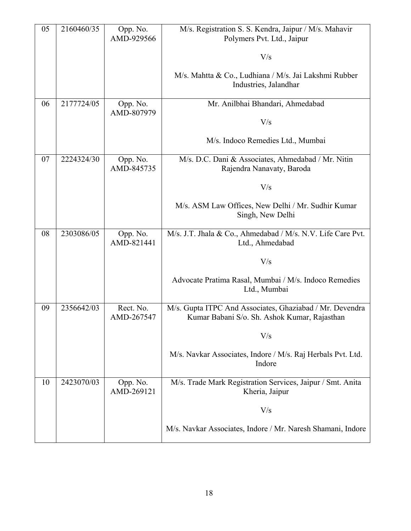| 05 | 2160460/35 | Opp. No.<br>AMD-929566  | M/s. Registration S. S. Kendra, Jaipur / M/s. Mahavir<br>Polymers Pvt. Ltd., Jaipur                      |
|----|------------|-------------------------|----------------------------------------------------------------------------------------------------------|
|    |            |                         | V/s                                                                                                      |
|    |            |                         | M/s. Mahtta & Co., Ludhiana / M/s. Jai Lakshmi Rubber<br>Industries, Jalandhar                           |
| 06 | 2177724/05 | Opp. No.<br>AMD-807979  | Mr. Anilbhai Bhandari, Ahmedabad                                                                         |
|    |            |                         | V/s                                                                                                      |
|    |            |                         | M/s. Indoco Remedies Ltd., Mumbai                                                                        |
| 07 | 2224324/30 | Opp. No.<br>AMD-845735  | M/s. D.C. Dani & Associates, Ahmedabad / Mr. Nitin<br>Rajendra Nanavaty, Baroda                          |
|    |            |                         | V/s                                                                                                      |
|    |            |                         | M/s. ASM Law Offices, New Delhi / Mr. Sudhir Kumar<br>Singh, New Delhi                                   |
| 08 | 2303086/05 | Opp. No.<br>AMD-821441  | M/s. J.T. Jhala & Co., Ahmedabad / M/s. N.V. Life Care Pvt.<br>Ltd., Ahmedabad                           |
|    |            |                         | V/s                                                                                                      |
|    |            |                         | Advocate Pratima Rasal, Mumbai / M/s. Indoco Remedies<br>Ltd., Mumbai                                    |
| 09 | 2356642/03 | Rect. No.<br>AMD-267547 | M/s. Gupta ITPC And Associates, Ghaziabad / Mr. Devendra<br>Kumar Babani S/o. Sh. Ashok Kumar, Rajasthan |
|    |            |                         | V/s                                                                                                      |
|    |            |                         | M/s. Navkar Associates, Indore / M/s. Raj Herbals Pvt. Ltd.<br>Indore                                    |
| 10 | 2423070/03 | Opp. No.<br>AMD-269121  | M/s. Trade Mark Registration Services, Jaipur / Smt. Anita<br>Kheria, Jaipur                             |
|    |            |                         | V/s                                                                                                      |
|    |            |                         | M/s. Navkar Associates, Indore / Mr. Naresh Shamani, Indore                                              |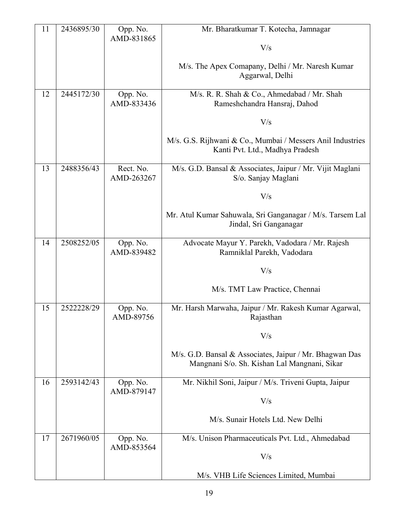| 11 | 2436895/30 | Opp. No.<br>AMD-831865  | Mr. Bharatkumar T. Kotecha, Jamnagar                                                                    |
|----|------------|-------------------------|---------------------------------------------------------------------------------------------------------|
|    |            |                         | V/s                                                                                                     |
|    |            |                         | M/s. The Apex Comapany, Delhi / Mr. Naresh Kumar<br>Aggarwal, Delhi                                     |
| 12 | 2445172/30 | Opp. No.<br>AMD-833436  | M/s. R. R. Shah & Co., Ahmedabad / Mr. Shah<br>Rameshchandra Hansraj, Dahod                             |
|    |            |                         | V/s                                                                                                     |
|    |            |                         | M/s. G.S. Rijhwani & Co., Mumbai / Messers Anil Industries<br>Kanti Pvt. Ltd., Madhya Pradesh           |
| 13 | 2488356/43 | Rect. No.<br>AMD-263267 | M/s. G.D. Bansal & Associates, Jaipur / Mr. Vijit Maglani<br>S/o. Sanjay Maglani                        |
|    |            |                         | V/s                                                                                                     |
|    |            |                         | Mr. Atul Kumar Sahuwala, Sri Ganganagar / M/s. Tarsem Lal<br>Jindal, Sri Ganganagar                     |
| 14 | 2508252/05 | Opp. No.<br>AMD-839482  | Advocate Mayur Y. Parekh, Vadodara / Mr. Rajesh<br>Ramniklal Parekh, Vadodara                           |
|    |            |                         | V/s                                                                                                     |
|    |            |                         | M/s. TMT Law Practice, Chennai                                                                          |
| 15 | 2522228/29 | Opp. No.<br>AMD-89756   | Mr. Harsh Marwaha, Jaipur / Mr. Rakesh Kumar Agarwal,<br>Rajasthan                                      |
|    |            |                         | V/s                                                                                                     |
|    |            |                         | M/s. G.D. Bansal & Associates, Jaipur / Mr. Bhagwan Das<br>Mangnani S/o. Sh. Kishan Lal Mangnani, Sikar |
| 16 | 2593142/43 | Opp. No.<br>AMD-879147  | Mr. Nikhil Soni, Jaipur / M/s. Triveni Gupta, Jaipur                                                    |
|    |            |                         | V/s                                                                                                     |
|    |            |                         | M/s. Sunair Hotels Ltd. New Delhi                                                                       |
| 17 | 2671960/05 | Opp. No.<br>AMD-853564  | M/s. Unison Pharmaceuticals Pvt. Ltd., Ahmedabad                                                        |
|    |            |                         | V/s                                                                                                     |
|    |            |                         | M/s. VHB Life Sciences Limited, Mumbai                                                                  |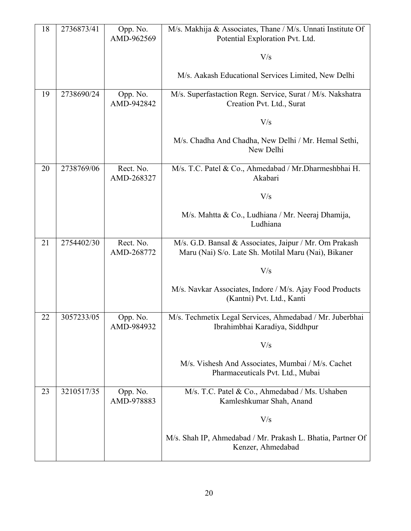| 18 | 2736873/41 | Opp. No.<br>AMD-962569  | M/s. Makhija & Associates, Thane / M/s. Unnati Institute Of<br>Potential Exploration Pvt. Ltd.                 |
|----|------------|-------------------------|----------------------------------------------------------------------------------------------------------------|
|    |            |                         | V/s                                                                                                            |
|    |            |                         | M/s. Aakash Educational Services Limited, New Delhi                                                            |
| 19 | 2738690/24 | Opp. No.<br>AMD-942842  | M/s. Superfastaction Regn. Service, Surat / M/s. Nakshatra<br>Creation Pvt. Ltd., Surat                        |
|    |            |                         | V/s                                                                                                            |
|    |            |                         | M/s. Chadha And Chadha, New Delhi / Mr. Hemal Sethi,<br>New Delhi                                              |
| 20 | 2738769/06 | Rect. No.<br>AMD-268327 | M/s. T.C. Patel & Co., Ahmedabad / Mr. Dharmeshbhai H.<br>Akabari                                              |
|    |            |                         | V/s                                                                                                            |
|    |            |                         | M/s. Mahtta & Co., Ludhiana / Mr. Neeraj Dhamija,<br>Ludhiana                                                  |
| 21 | 2754402/30 | Rect. No.<br>AMD-268772 | M/s. G.D. Bansal & Associates, Jaipur / Mr. Om Prakash<br>Maru (Nai) S/o. Late Sh. Motilal Maru (Nai), Bikaner |
|    |            |                         | V/s                                                                                                            |
|    |            |                         | M/s. Navkar Associates, Indore / M/s. Ajay Food Products<br>(Kantni) Pvt. Ltd., Kanti                          |
| 22 | 3057233/05 | Opp. No.<br>AMD-984932  | M/s. Techmetix Legal Services, Ahmedabad / Mr. Juberbhai<br>Ibrahimbhai Karadiya, Siddhpur                     |
|    |            |                         | V/s                                                                                                            |
|    |            |                         | M/s. Vishesh And Associates, Mumbai / M/s. Cachet<br>Pharmaceuticals Pvt. Ltd., Mubai                          |
| 23 | 3210517/35 | Opp. No.<br>AMD-978883  | M/s. T.C. Patel & Co., Ahmedabad / Ms. Ushaben<br>Kamleshkumar Shah, Anand                                     |
|    |            |                         | V/s                                                                                                            |
|    |            |                         | M/s. Shah IP, Ahmedabad / Mr. Prakash L. Bhatia, Partner Of<br>Kenzer, Ahmedabad                               |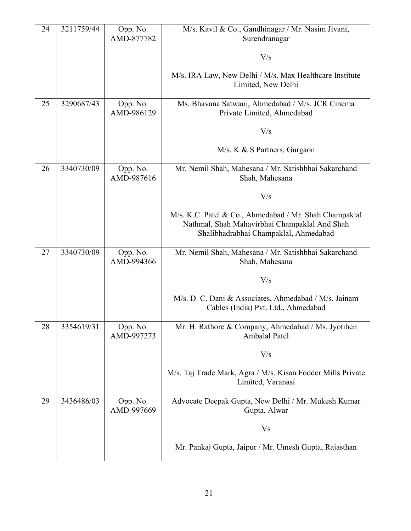| 24 | 3211759/44 | Opp. No.<br>AMD-877782 | M/s. Kavil & Co., Gandhinagar / Mr. Nasim Jivani,<br>Surendranagar                                                                               |
|----|------------|------------------------|--------------------------------------------------------------------------------------------------------------------------------------------------|
|    |            |                        | V/s                                                                                                                                              |
|    |            |                        | M/s. IRA Law, New Delhi / M/s. Max Healthcare Institute<br>Limited, New Delhi                                                                    |
| 25 | 3290687/43 | Opp. No.<br>AMD-986129 | Ms. Bhavana Satwani, Ahmedabad / M/s. JCR Cinema<br>Private Limited, Ahmedabad                                                                   |
|    |            |                        | V/s                                                                                                                                              |
|    |            |                        | M/s. K & S Partners, Gurgaon                                                                                                                     |
| 26 | 3340730/09 | Opp. No.<br>AMD-987616 | Mr. Nemil Shah, Mahesana / Mr. Satishbhai Sakarchand<br>Shah, Mahesana                                                                           |
|    |            |                        | V/s                                                                                                                                              |
|    |            |                        | M/s. K.C. Patel & Co., Ahmedabad / Mr. Shah Champaklal<br>Nathmal, Shah Mahavirbhai Champaklal And Shah<br>Shalibhadrabhai Champaklal, Ahmedabad |
| 27 | 3340730/09 | Opp. No.<br>AMD-994366 | Mr. Nemil Shah, Mahesana / Mr. Satishbhai Sakarchand<br>Shah, Mahesana                                                                           |
|    |            |                        | V/s                                                                                                                                              |
|    |            |                        | M/s. D. C. Dani & Associates, Ahmedabad / M/s. Jainam<br>Cables (India) Pvt. Ltd., Ahmedabad                                                     |
| 28 | 3354619/31 | Opp. No.<br>AMD-997273 | Mr. H. Rathore & Company, Ahmedabad / Ms. Jyotiben<br>Ambalal Patel                                                                              |
|    |            |                        | V/s                                                                                                                                              |
|    |            |                        | M/s. Taj Trade Mark, Agra / M/s. Kisan Fodder Mills Private<br>Limited, Varanasi                                                                 |
| 29 | 3436486/03 | Opp. No.<br>AMD-997669 | Advocate Deepak Gupta, New Delhi / Mr. Mukesh Kumar<br>Gupta, Alwar                                                                              |
|    |            |                        | <b>Vs</b>                                                                                                                                        |
|    |            |                        | Mr. Pankaj Gupta, Jaipur / Mr. Umesh Gupta, Rajasthan                                                                                            |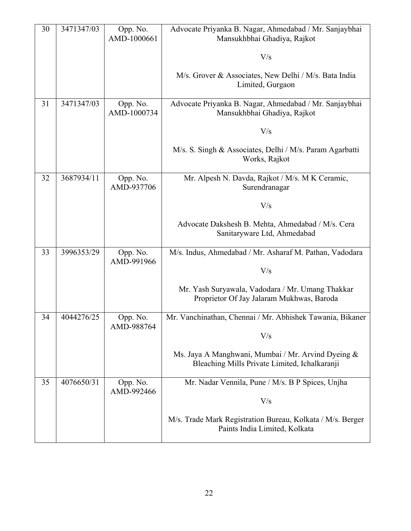| 30 | 3471347/03 | Opp. No.<br>AMD-1000661 | Advocate Priyanka B. Nagar, Ahmedabad / Mr. Sanjaybhai<br>Mansukhbhai Ghadiya, Rajkot               |
|----|------------|-------------------------|-----------------------------------------------------------------------------------------------------|
|    |            |                         | V/s                                                                                                 |
|    |            |                         | M/s. Grover & Associates, New Delhi / M/s. Bata India<br>Limited, Gurgaon                           |
| 31 | 3471347/03 | Opp. No.<br>AMD-1000734 | Advocate Priyanka B. Nagar, Ahmedabad / Mr. Sanjaybhai<br>Mansukhbhai Ghadiya, Rajkot               |
|    |            |                         | V/s                                                                                                 |
|    |            |                         | M/s. S. Singh & Associates, Delhi / M/s. Param Agarbatti<br>Works, Rajkot                           |
| 32 | 3687934/11 | Opp. No.<br>AMD-937706  | Mr. Alpesh N. Davda, Rajkot / M/s. M K Ceramic,<br>Surendranagar                                    |
|    |            |                         | V/s                                                                                                 |
|    |            |                         | Advocate Dakshesh B. Mehta, Ahmedabad / M/s. Cera<br>Sanitaryware Ltd, Ahmedabad                    |
| 33 | 3996353/29 | Opp. No.<br>AMD-991966  | M/s. Indus, Ahmedabad / Mr. Asharaf M. Pathan, Vadodara                                             |
|    |            |                         | V/s                                                                                                 |
|    |            |                         | Mr. Yash Suryawala, Vadodara / Mr. Umang Thakkar<br>Proprietor Of Jay Jalaram Mukhwas, Baroda       |
| 34 | 4044276/25 | Opp. No.<br>AMD-988764  | Mr. Vanchinathan, Chennai / Mr. Abhishek Tawania, Bikaner                                           |
|    |            |                         | V/s                                                                                                 |
|    |            |                         | Ms. Jaya A Manghwani, Mumbai / Mr. Arvind Dyeing &<br>Bleaching Mills Private Limited, Ichalkaranji |
| 35 | 4076650/31 | Opp. No.<br>AMD-992466  | Mr. Nadar Vennila, Pune / M/s. B P Spices, Unjha                                                    |
|    |            |                         | V/s                                                                                                 |
|    |            |                         | M/s. Trade Mark Registration Bureau, Kolkata / M/s. Berger<br>Paints India Limited, Kolkata         |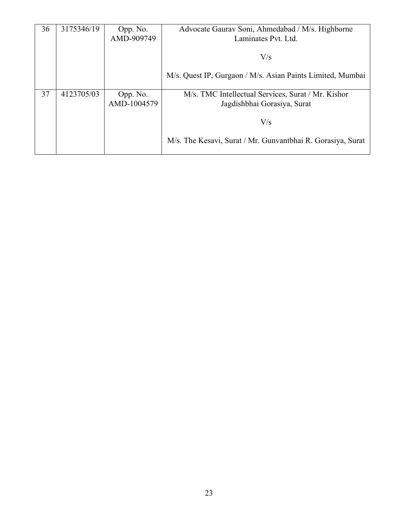| 36 | 3175346/19 | Opp. No.<br>AMD-909749  | Advocate Gaurav Soni, Ahmedabad / M/s. Highborne<br>Laminates Pvt. Ltd.           |
|----|------------|-------------------------|-----------------------------------------------------------------------------------|
|    |            |                         | V/s                                                                               |
|    |            |                         | M/s. Quest IP, Gurgaon / M/s. Asian Paints Limited, Mumbai                        |
| 37 | 4123705/03 | Opp. No.<br>AMD-1004579 | M/s. TMC Intellectual Services, Surat / Mr. Kishor<br>Jagdishbhai Gorasiya, Surat |
|    |            |                         | V/s                                                                               |
|    |            |                         | M/s. The Kesavi, Surat / Mr. Gunvantbhai R. Gorasiya, Surat                       |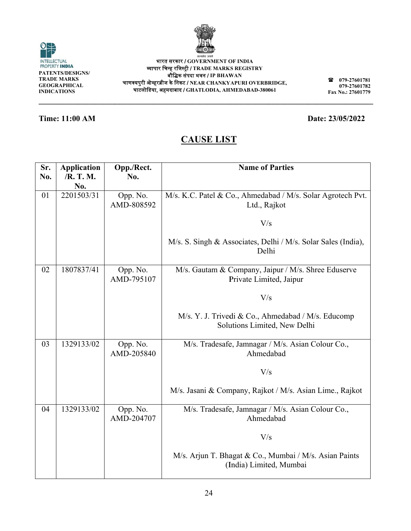| सत्यमेव जयते |
|--------------|
|--------------|

**\_\_\_\_\_\_\_\_\_\_\_**

**079 9-27601781 079 9-27601782 Fax No. .: 27601779**

**\_\_\_\_\_\_\_**

### **Time: 11:00 AM**

**\_\_\_\_\_\_\_\_\_\_\_**

**\_\_\_\_\_\_\_\_\_\_\_**

# **CA AUSE LIS T**

**\_\_\_\_\_\_\_\_\_\_**

| Sr.<br>No. | <b>Application</b><br>/R. T. M. | Opp./Rect.<br>No.      | <b>Name of Parties</b>                                                             |
|------------|---------------------------------|------------------------|------------------------------------------------------------------------------------|
|            | No.                             |                        |                                                                                    |
| 01         | 2201503/31                      | Opp. No.<br>AMD-808592 | M/s. K.C. Patel & Co., Ahmedabad / M/s. Solar Agrotech Pvt.<br>Ltd., Rajkot        |
|            |                                 |                        | V/s                                                                                |
|            |                                 |                        | M/s. S. Singh & Associates, Delhi / M/s. Solar Sales (India),<br>Delhi             |
| 02         | 1807837/41                      | Opp. No.<br>AMD-795107 | M/s. Gautam & Company, Jaipur / M/s. Shree Eduserve<br>Private Limited, Jaipur     |
|            |                                 |                        | V/s                                                                                |
|            |                                 |                        | M/s. Y. J. Trivedi & Co., Ahmedabad / M/s. Educomp<br>Solutions Limited, New Delhi |
| 03         | 1329133/02                      | Opp. No.<br>AMD-205840 | M/s. Tradesafe, Jamnagar / M/s. Asian Colour Co.,<br>Ahmedabad                     |
|            |                                 |                        | V/s                                                                                |
|            |                                 |                        | M/s. Jasani & Company, Rajkot / M/s. Asian Lime., Rajkot                           |
| 04         | 1329133/02                      | Opp. No.<br>AMD-204707 | M/s. Tradesafe, Jamnagar / M/s. Asian Colour Co.,<br>Ahmedabad                     |
|            |                                 |                        | V/s                                                                                |
|            |                                 |                        | M/s. Arjun T. Bhagat & Co., Mumbai / M/s. Asian Paints<br>(India) Limited, Mumbai  |



**\_\_\_\_\_\_\_\_\_\_**

**Date: 23/05 5/2022** 

**\_\_\_\_\_\_\_\_\_\_\_**

**\_\_\_\_\_\_\_\_\_\_\_**

**\_\_\_\_\_\_\_\_\_\_**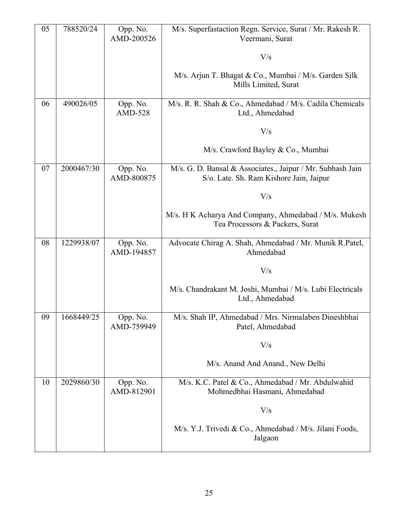| 05 | 788520/24  | Opp. No.<br>AMD-200526 | M/s. Superfastaction Regn. Service, Surat / Mr. Rakesh R.<br>Veermani, Surat                          |
|----|------------|------------------------|-------------------------------------------------------------------------------------------------------|
|    |            |                        | V/s                                                                                                   |
|    |            |                        | M/s. Arjun T. Bhagat & Co., Mumbai / M/s. Garden Silk<br>Mills Limited, Surat                         |
| 06 | 490026/05  | Opp. No.<br>AMD-528    | M/s. R. R. Shah & Co., Ahmedabad / M/s. Cadila Chemicals<br>Ltd., Ahmedabad                           |
|    |            |                        | V/s                                                                                                   |
|    |            |                        | M/s. Crawford Bayley & Co., Mumbai                                                                    |
| 07 | 2000467/30 | Opp. No.<br>AMD-800875 | M/s. G. D. Bansal & Associates., Jaipur / Mr. Subhash Jain<br>S/o. Late. Sh. Ram Kishore Jain, Jaipur |
|    |            |                        | V/s                                                                                                   |
|    |            |                        | M/s. H K Acharya And Company, Ahmedabad / M/s. Mukesh<br>Tea Processors & Packers, Surat              |
| 08 | 1229938/07 | Opp. No.<br>AMD-194857 | Advocate Chirag A. Shah, Ahmedabad / Mr. Munik R.Patel,<br>Ahmedabad                                  |
|    |            |                        | V/s                                                                                                   |
|    |            |                        | M/s. Chandrakant M. Joshi, Mumbai / M/s. Lubi Electricals<br>Ltd., Ahmedabad                          |
| 09 | 1668449/25 | Opp. No.<br>AMD-759949 | M/s. Shah IP, Ahmedabad / Mrs. Nirmalaben Dineshbhai<br>Patel, Ahmedabad                              |
|    |            |                        | V/s                                                                                                   |
|    |            |                        | M/s. Anand And Anand., New Delhi                                                                      |
| 10 | 2029860/30 | Opp. No.<br>AMD-812901 | M/s. K.C. Patel & Co., Ahmedabad / Mr. Abdulwahid<br>Mohmedbhai Hasmani, Ahmedabad                    |
|    |            |                        | V/s                                                                                                   |
|    |            |                        | M/s. Y.J. Trivedi & Co., Ahmedabad / M/s. Jilani Foods,<br>Jalgaon                                    |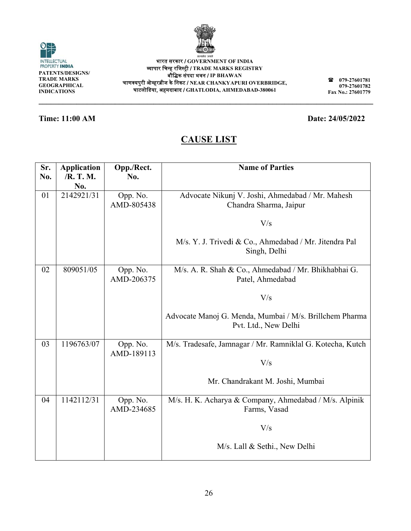| v       |
|---------|
| ٦       |
| ۰.<br>× |

| भारत सरकार / GOVERNMENT OF INDIA                             |
|--------------------------------------------------------------|
| व्यापार चिन्ह रजिस्ट्री / TRADE MARKS REGISTRY               |
| बौद्धिक संपदा भवन / IP BHAWAN                                |
| चाणक्यपुरी ओव्हरब्रीज के निकट / NEAR CHANKYAPURI OVERBRIDGE, |
| EIZERET EFTERET CHATI ODIA AHMEDARAD 380061                  |

**\_\_\_\_\_\_\_\_\_\_**

**\_\_\_\_\_\_\_\_\_\_\_**

**\_\_\_\_\_\_\_\_\_\_**

**\_\_\_\_\_\_\_\_\_\_\_**

## **Time: 11:00 AM**

**\_\_\_\_\_\_\_\_\_\_\_**

**\_\_\_\_\_\_\_\_\_\_\_**

# **CA AUSE LIS T**

| Sr. | <b>Application</b> | Opp./Rect.             | <b>Name of Parties</b>                                                     |
|-----|--------------------|------------------------|----------------------------------------------------------------------------|
| No. | /R. T. M.          | No.                    |                                                                            |
| 01  | No.<br>2142921/31  |                        |                                                                            |
|     |                    | Opp. No.<br>AMD-805438 | Advocate Nikunj V. Joshi, Ahmedabad / Mr. Mahesh<br>Chandra Sharma, Jaipur |
|     |                    |                        |                                                                            |
|     |                    |                        | V/s                                                                        |
|     |                    |                        |                                                                            |
|     |                    |                        | M/s. Y. J. Trivedi & Co., Ahmedabad / Mr. Jitendra Pal                     |
|     |                    |                        | Singh, Delhi                                                               |
| 02  | 809051/05          |                        |                                                                            |
|     |                    | Opp. No.<br>AMD-206375 | M/s. A. R. Shah & Co., Ahmedabad / Mr. Bhikhabhai G.<br>Patel, Ahmedabad   |
|     |                    |                        |                                                                            |
|     |                    |                        | V/s                                                                        |
|     |                    |                        |                                                                            |
|     |                    |                        | Advocate Manoj G. Menda, Mumbai / M/s. Brillchem Pharma                    |
|     |                    |                        | Pvt. Ltd., New Delhi                                                       |
| 03  | 1196763/07         |                        | M/s. Tradesafe, Jamnagar / Mr. Ramniklal G. Kotecha, Kutch                 |
|     |                    | Opp. No.<br>AMD-189113 |                                                                            |
|     |                    |                        | V/s                                                                        |
|     |                    |                        |                                                                            |
|     |                    |                        | Mr. Chandrakant M. Joshi, Mumbai                                           |
|     |                    |                        |                                                                            |
| 04  | 1142112/31         | Opp. No.               | M/s. H. K. Acharya & Company, Ahmedabad / M/s. Alpinik                     |
|     |                    | AMD-234685             | Farms, Vasad                                                               |
|     |                    |                        | V/s                                                                        |
|     |                    |                        |                                                                            |
|     |                    |                        | M/s. Lall & Sethi., New Delhi                                              |
|     |                    |                        |                                                                            |



**\_\_\_\_\_\_\_\_\_\_**

**079 079 Fax No. .: 27601779 \_\_\_\_\_\_\_\_\_\_\_ 9-27601781 9-27601782 \_\_\_\_\_\_\_**

### **Date: 24/05 5/2022**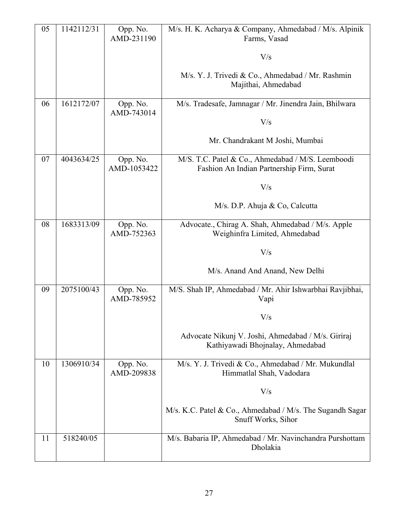| 05 | 1142112/31 | Opp. No.<br>AMD-231190  | M/s. H. K. Acharya & Company, Ahmedabad / M/s. Alpinik<br>Farms, Vasad                         |
|----|------------|-------------------------|------------------------------------------------------------------------------------------------|
|    |            |                         | V/s                                                                                            |
|    |            |                         | M/s. Y. J. Trivedi & Co., Ahmedabad / Mr. Rashmin<br>Majithai, Ahmedabad                       |
| 06 | 1612172/07 | Opp. No.<br>AMD-743014  | M/s. Tradesafe, Jamnagar / Mr. Jinendra Jain, Bhilwara                                         |
|    |            |                         | V/s                                                                                            |
|    |            |                         | Mr. Chandrakant M Joshi, Mumbai                                                                |
| 07 | 4043634/25 | Opp. No.<br>AMD-1053422 | M/S. T.C. Patel & Co., Ahmedabad / M/S. Leemboodi<br>Fashion An Indian Partnership Firm, Surat |
|    |            |                         | V/s                                                                                            |
|    |            |                         | M/s. D.P. Ahuja & Co, Calcutta                                                                 |
| 08 | 1683313/09 | Opp. No.<br>AMD-752363  | Advocate., Chirag A. Shah, Ahmedabad / M/s. Apple<br>Weighinfra Limited, Ahmedabad             |
|    |            |                         | V/s                                                                                            |
|    |            |                         | M/s. Anand And Anand, New Delhi                                                                |
| 09 | 2075100/43 | Opp. No.<br>AMD-785952  | M/S. Shah IP, Ahmedabad / Mr. Ahir Ishwarbhai Ravjibhai,<br>Vapi                               |
|    |            |                         | V/s                                                                                            |
|    |            |                         | Advocate Nikunj V. Joshi, Ahmedabad / M/s. Giriraj<br>Kathiyawadi Bhojnalay, Ahmedabad         |
| 10 | 1306910/34 | Opp. No.<br>AMD-209838  | M/s. Y. J. Trivedi & Co., Ahmedabad / Mr. Mukundlal<br>Himmatlal Shah, Vadodara                |
|    |            |                         | V/s                                                                                            |
|    |            |                         | M/s. K.C. Patel & Co., Ahmedabad / M/s. The Sugandh Sagar<br>Snuff Works, Sihor                |
| 11 | 518240/05  |                         | M/s. Babaria IP, Ahmedabad / Mr. Navinchandra Purshottam<br>Dholakia                           |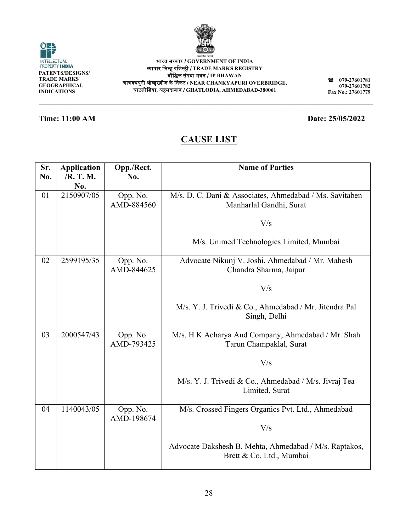

|  | ×<br>۰. |
|--|---------|

**079 079 9-27601782 Fax No. .: 27601779**

# **CA AUSE LIS T**

| TRADE MARKS<br><b>GEOGRAPHICAL</b><br><b>INDICATIONS</b> |                                        |                        | 079-27601781<br>Т<br>चाणक्यपुरी ओव्हरब्रीज के निकट / NEAR CHANKYAPURI OVERBRIDGE,<br>079-27601782<br>घाटलोडिया, अहमदाबाद / GHATLODIA, AHMEDABAD-380061<br>Fax No.: 27601779 |  |  |  |
|----------------------------------------------------------|----------------------------------------|------------------------|-----------------------------------------------------------------------------------------------------------------------------------------------------------------------------|--|--|--|
|                                                          | <b>Time: 11:00 AM</b>                  |                        | Date: 25/05/2022                                                                                                                                                            |  |  |  |
|                                                          | <b>CAUSE LIST</b>                      |                        |                                                                                                                                                                             |  |  |  |
| Sr.<br>No.                                               | <b>Application</b><br>/R. T. M.<br>No. | Opp./Rect.<br>No.      | <b>Name of Parties</b>                                                                                                                                                      |  |  |  |
| 01                                                       | 2150907/05                             | Opp. No.<br>AMD-884560 | M/s. D. C. Dani & Associates, Ahmedabad / Ms. Savitaben<br>Manharlal Gandhi, Surat                                                                                          |  |  |  |
|                                                          |                                        |                        | V/s                                                                                                                                                                         |  |  |  |
|                                                          |                                        |                        | M/s. Unimed Technologies Limited, Mumbai                                                                                                                                    |  |  |  |
| 02                                                       | 2599195/35                             | Opp. No.<br>AMD-844625 | Advocate Nikunj V. Joshi, Ahmedabad / Mr. Mahesh<br>Chandra Sharma, Jaipur                                                                                                  |  |  |  |
|                                                          |                                        |                        | V/s                                                                                                                                                                         |  |  |  |
|                                                          |                                        |                        | M/s. Y. J. Trivedi & Co., Ahmedabad / Mr. Jitendra Pal<br>Singh, Delhi                                                                                                      |  |  |  |
| 03                                                       | 2000547/43                             | Opp. No.<br>AMD-793425 | M/s. H K Acharya And Company, Ahmedabad / Mr. Shah<br>Tarun Champaklal, Surat                                                                                               |  |  |  |
|                                                          |                                        |                        | V/s                                                                                                                                                                         |  |  |  |
|                                                          |                                        |                        | M/s. Y. J. Trivedi & Co., Ahmedabad / M/s. Jivraj Tea<br>Limited, Surat                                                                                                     |  |  |  |
| 04                                                       | 1140043/05                             | Opp. No.<br>AMD-198674 | M/s. Crossed Fingers Organics Pvt. Ltd., Ahmedabad                                                                                                                          |  |  |  |
|                                                          |                                        |                        | V/s                                                                                                                                                                         |  |  |  |
|                                                          |                                        |                        | Advocate Dakshesh B. Mehta, Ahmedabad / M/s. Raptakos,<br>Brett & Co. Ltd., Mumbai                                                                                          |  |  |  |





# **Date: 25/05 5/2022**